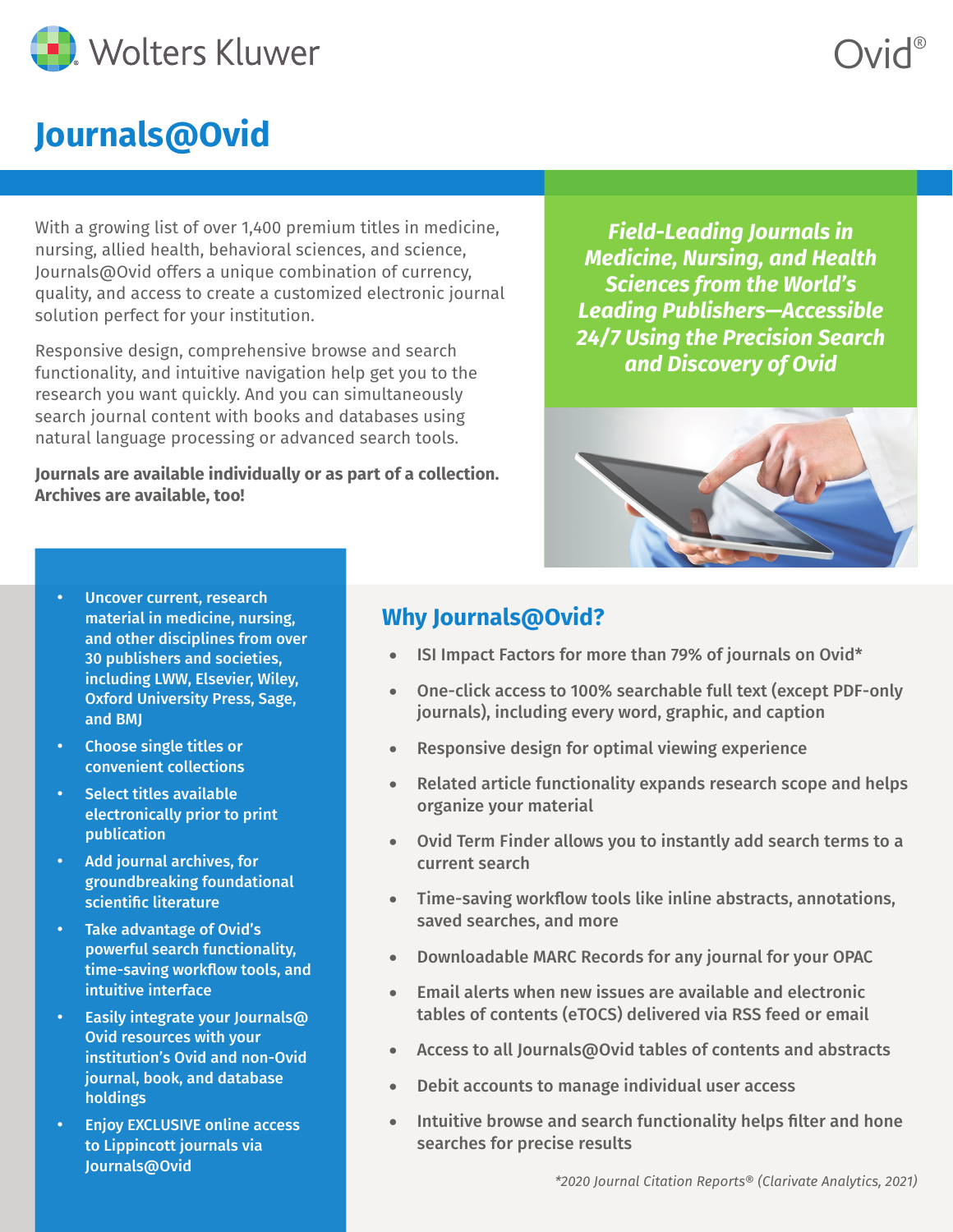

# **Journals@Ovid**

With a growing list of over 1,400 premium titles in medicine, nursing, allied health, behavioral sciences, and science, Journals@Ovid offers a unique combination of currency, quality, and access to create a customized electronic journal solution perfect for your institution.

Responsive design, comprehensive browse and search functionality, and intuitive navigation help get you to the research you want quickly. And you can simultaneously search journal content with books and databases using natural language processing or advanced search tools.

**Journals are available individually or as part of a collection. Archives are available, too!**

*Field-Leading Journals in Medicine, Nursing, and Health Sciences from the World's Leading Publishers—Accessible 24/7 Using the Precision Search and Discovery of Ovid* 

Ovid®



- Uncover current, research material in medicine, nursing, and other disciplines from over 30 publishers and societies, including LWW, Elsevier, Wiley, Oxford University Press, Sage, and BMJ
- Choose single titles or convenient collections
- Select titles available electronically prior to print publication
- Add journal archives, for groundbreaking foundational scientific literature
- Take advantage of Ovid's powerful search functionality, time-saving workflow tools, and intuitive interface
- Easily integrate your Journals@ Ovid resources with your institution's Ovid and non-Ovid journal, book, and database holdings
- **Enjoy EXCLUSIVE online access** to Lippincott journals via Journals@Ovid

## **Why Journals@Ovid?**

- ISI Impact Factors for more than 79% of journals on Ovid\*
- One-click access to 100% searchable full text (except PDF-only journals), including every word, graphic, and caption
- Responsive design for optimal viewing experience
- Related article functionality expands research scope and helps organize your material
- Ovid Term Finder allows you to instantly add search terms to a current search
- Time-saving workflow tools like inline abstracts, annotations, saved searches, and more
- Downloadable MARC Records for any journal for your OPAC
- $\bullet$  Email alerts when new issues are available and electronic tables of contents (eTOCS) delivered via RSS feed or email
- Access to all Journals@Ovid tables of contents and abstracts
- • Debit accounts to manage individual user access
- Intuitive browse and search functionality helps filter and hone searches for precise results